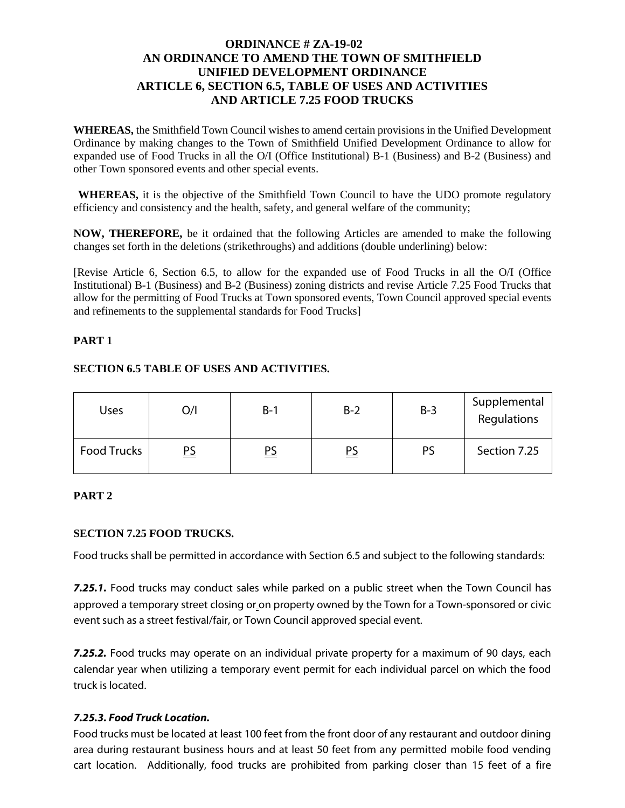### **ORDINANCE # ZA-19-02 AN ORDINANCE TO AMEND THE TOWN OF SMITHFIELD UNIFIED DEVELOPMENT ORDINANCE ARTICLE 6, SECTION 6.5, TABLE OF USES AND ACTIVITIES AND ARTICLE 7.25 FOOD TRUCKS**

**WHEREAS,** the Smithfield Town Council wishes to amend certain provisions in the Unified Development Ordinance by making changes to the Town of Smithfield Unified Development Ordinance to allow for expanded use of Food Trucks in all the O/I (Office Institutional) B-1 (Business) and B-2 (Business) and other Town sponsored events and other special events.

**WHEREAS,** it is the objective of the Smithfield Town Council to have the UDO promote regulatory efficiency and consistency and the health, safety, and general welfare of the community;

**NOW, THEREFORE,** be it ordained that the following Articles are amended to make the following changes set forth in the deletions (strikethroughs) and additions (double underlining) below:

[Revise Article 6, Section 6.5, to allow for the expanded use of Food Trucks in all the O/I (Office Institutional) B-1 (Business) and B-2 (Business) zoning districts and revise Article 7.25 Food Trucks that allow for the permitting of Food Trucks at Town sponsored events, Town Council approved special events and refinements to the supplemental standards for Food Trucks]

#### **PART 1**

#### **SECTION 6.5 TABLE OF USES AND ACTIVITIES.**

| Uses               | O/I       | $B-1$     | $B-2$     | $B-3$ | Supplemental<br>Regulations |
|--------------------|-----------|-----------|-----------|-------|-----------------------------|
| <b>Food Trucks</b> | <u>PS</u> | <u>PS</u> | <u>PS</u> | PS    | Section 7.25                |

### **PART 2**

### **SECTION 7.25 FOOD TRUCKS.**

Food trucks shall be permitted in accordance with Section 6.5 and subject to the following standards:

7.25.1. Food trucks may conduct sales while parked on a public street when the Town Council has approved a temporary street closing or on property owned by the Town for a Town-sponsored or civic event such as a street festival/fair, or Town Council approved special event.

*7.25.2.* Food trucks may operate on an individual private property for a maximum of 90 days, each calendar year when utilizing a temporary event permit for each individual parcel on which the food truck is located.

### *7.25.3. Food Truck Location.*

Food trucks must be located at least 100 feet from the front door of any restaurant and outdoor dining area during restaurant business hours and at least 50 feet from any permitted mobile food vending cart location. Additionally, food trucks are prohibited from parking closer than 15 feet of a fire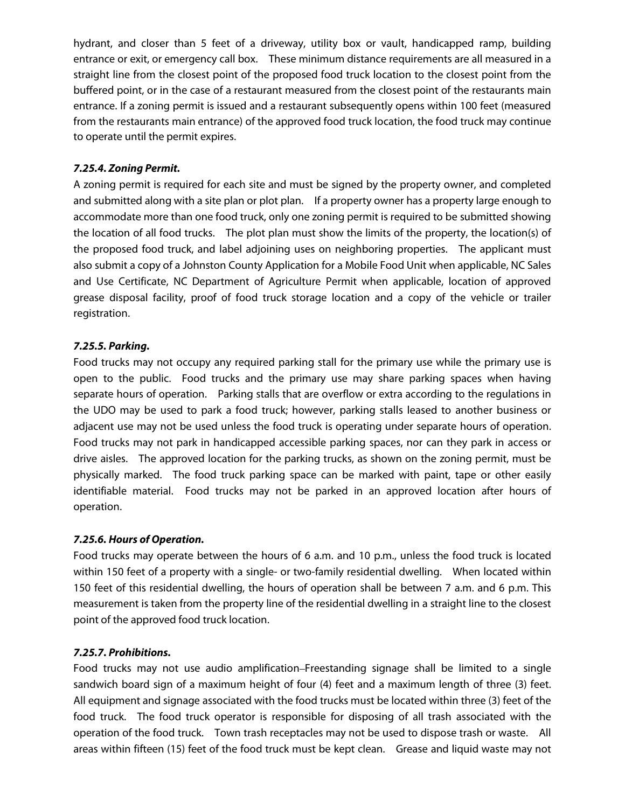hydrant, and closer than 5 feet of a driveway, utility box or vault, handicapped ramp, building entrance or exit, or emergency call box. These minimum distance requirements are all measured in a straight line from the closest point of the proposed food truck location to the closest point from the buffered point, or in the case of a restaurant measured from the closest point of the restaurants main entrance. If a zoning permit is issued and a restaurant subsequently opens within 100 feet (measured from the restaurants main entrance) of the approved food truck location, the food truck may continue to operate until the permit expires.

## *7.25.4. Zoning Permit.*

A zoning permit is required for each site and must be signed by the property owner, and completed and submitted along with a site plan or plot plan. If a property owner has a property large enough to accommodate more than one food truck, only one zoning permit is required to be submitted showing the location of all food trucks. The plot plan must show the limits of the property, the location(s) of the proposed food truck, and label adjoining uses on neighboring properties. The applicant must also submit a copy of a Johnston County Application for a Mobile Food Unit when applicable, NC Sales and Use Certificate, NC Department of Agriculture Permit when applicable, location of approved grease disposal facility, proof of food truck storage location and a copy of the vehicle or trailer registration.

## *7.25.5. Parking.*

Food trucks may not occupy any required parking stall for the primary use while the primary use is open to the public. Food trucks and the primary use may share parking spaces when having separate hours of operation. Parking stalls that are overflow or extra according to the regulations in the UDO may be used to park a food truck; however, parking stalls leased to another business or adjacent use may not be used unless the food truck is operating under separate hours of operation. Food trucks may not park in handicapped accessible parking spaces, nor can they park in access or drive aisles. The approved location for the parking trucks, as shown on the zoning permit, must be physically marked. The food truck parking space can be marked with paint, tape or other easily identifiable material. Food trucks may not be parked in an approved location after hours of operation.

### *7.25.6. Hours of Operation.*

Food trucks may operate between the hours of 6 a.m. and 10 p.m., unless the food truck is located within 150 feet of a property with a single- or two-family residential dwelling. When located within 150 feet of this residential dwelling, the hours of operation shall be between 7 a.m. and 6 p.m. This measurement is taken from the property line of the residential dwelling in a straight line to the closest point of the approved food truck location.

### *7.25.7. Prohibitions.*

Food trucks may not use audio amplification Freestanding signage shall be limited to a single sandwich board sign of a maximum height of four (4) feet and a maximum length of three (3) feet. All equipment and signage associated with the food trucks must be located within three (3) feet of the food truck. The food truck operator is responsible for disposing of all trash associated with the operation of the food truck. Town trash receptacles may not be used to dispose trash or waste. All areas within fifteen (15) feet of the food truck must be kept clean. Grease and liquid waste may not